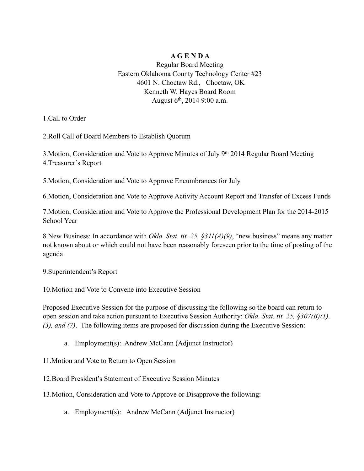## **A G E N D A**

Regular Board Meeting Eastern Oklahoma County Technology Center #23 4601 N. Choctaw Rd., Choctaw, OK Kenneth W. Hayes Board Room August 6th, 2014 9:00 a.m.

1.Call to Order

2.Roll Call of Board Members to Establish Quorum

3.Motion, Consideration and Vote to Approve Minutes of July 9th 2014 Regular Board Meeting 4.Treasurer's Report

5.Motion, Consideration and Vote to Approve Encumbrances for July

6.Motion, Consideration and Vote to Approve Activity Account Report and Transfer of Excess Funds

7.Motion, Consideration and Vote to Approve the Professional Development Plan for the 2014-2015 School Year

8.New Business: In accordance with *Okla. Stat. tit. 25, §311(A)(9)*, "new business" means any matter not known about or which could not have been reasonably foreseen prior to the time of posting of the agenda

9.Superintendent's Report

10.Motion and Vote to Convene into Executive Session

Proposed Executive Session for the purpose of discussing the following so the board can return to open session and take action pursuant to Executive Session Authority: *Okla. Stat. tit. 25, §307(B)(1), (3), and (7)*. The following items are proposed for discussion during the Executive Session:

a. Employment(s): Andrew McCann (Adjunct Instructor)

11.Motion and Vote to Return to Open Session

12.Board President's Statement of Executive Session Minutes

13.Motion, Consideration and Vote to Approve or Disapprove the following:

a. Employment(s): Andrew McCann (Adjunct Instructor)